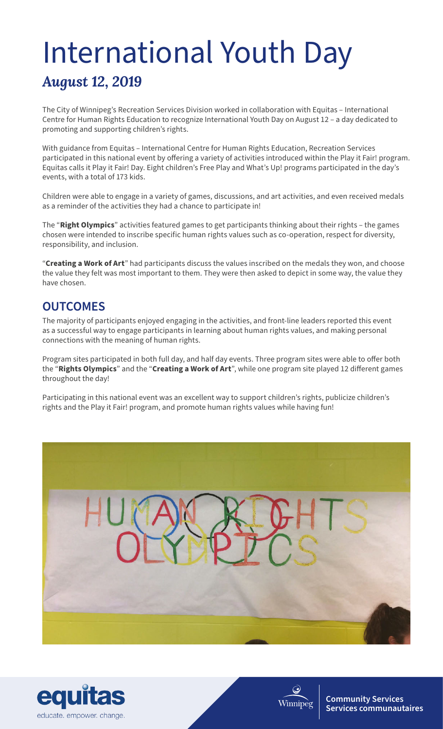## *August 12, 2019* International Youth Day

The City of Winnipeg's Recreation Services Division worked in collaboration with Equitas – International Centre for Human Rights Education to recognize International Youth Day on August 12 – a day dedicated to promoting and supporting children's rights.

With guidance from Equitas – International Centre for Human Rights Education, Recreation Services participated in this national event by offering a variety of activities introduced within the Play it Fair! program. Equitas calls it Play it Fair! Day. Eight children's Free Play and What's Up! programs participated in the day's events, with a total of 173 kids.

Children were able to engage in a variety of games, discussions, and art activities, and even received medals as a reminder of the activities they had a chance to participate in!

The "**Right Olympics**" activities featured games to get participants thinking about their rights – the games chosen were intended to inscribe specific human rights values such as co-operation, respect for diversity, responsibility, and inclusion.

"**Creating a Work of Art**" had participants discuss the values inscribed on the medals they won, and choose the value they felt was most important to them. They were then asked to depict in some way, the value they have chosen.

## **OUTCOMES**

The majority of participants enjoyed engaging in the activities, and front-line leaders reported this event as a successful way to engage participants in learning about human rights values, and making personal connections with the meaning of human rights.

Program sites participated in both full day, and half day events. Three program sites were able to offer both the "**Rights Olympics**" and the "**Creating a Work of Art**", while one program site played 12 different games throughout the day!

Participating in this national event was an excellent way to support children's rights, publicize children's rights and the Play it Fair! program, and promote human rights values while having fun!